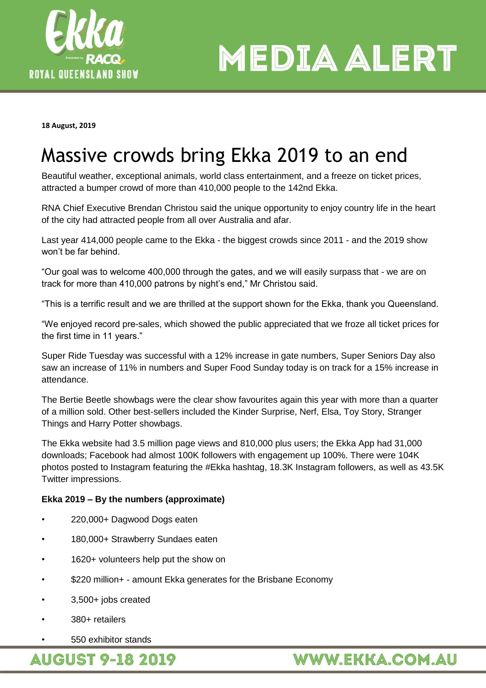

**MEDIA ALERT** 

**18 August, 2019**

## Massive crowds bring Ekka 2019 to an end

Beautiful weather, exceptional animals, world class entertainment, and a freeze on ticket prices, attracted a bumper crowd of more than 410,000 people to the 142nd Ekka.

RNA Chief Executive Brendan Christou said the unique opportunity to enjoy country life in the heart of the city had attracted people from all over Australia and afar.

Last year 414,000 people came to the Ekka - the biggest crowds since 2011 - and the 2019 show won't be far behind.

"Our goal was to welcome 400,000 through the gates, and we will easily surpass that - we are on track for more than 410,000 patrons by night's end," Mr Christou said.

"This is a terrific result and we are thrilled at the support shown for the Ekka, thank you Queensland.

"We enjoyed record pre-sales, which showed the public appreciated that we froze all ticket prices for the first time in 11 years."

Super Ride Tuesday was successful with a 12% increase in gate numbers, Super Seniors Day also saw an increase of 11% in numbers and Super Food Sunday today is on track for a 15% increase in attendance.

The Bertie Beetle showbags were the clear show favourites again this year with more than a quarter of a million sold. Other best-sellers included the Kinder Surprise, Nerf, Elsa, Toy Story, Stranger Things and Harry Potter showbags.

The Ekka website had 3.5 million page views and 810,000 plus users; the Ekka App had 31,000 downloads; Facebook had almost 100K followers with engagement up 100%. There were 104K photos posted to Instagram featuring the #Ekka hashtag, 18.3K Instagram followers, as well as 43.5K Twitter impressions.

## **Ekka 2019 – By the numbers (approximate)**

- 220,000+ Dagwood Dogs eaten
- 180,000+ Strawberry Sundaes eaten
- 1620+ volunteers help put the show on
- \$220 million+ amount Ekka generates for the Brisbane Economy
- 3,500+ jobs created
- 380+ retailers
- 550 exhibitor stands

**AUGUST 9-18 2019** 

## **WWW.EKKA.COM.AU**